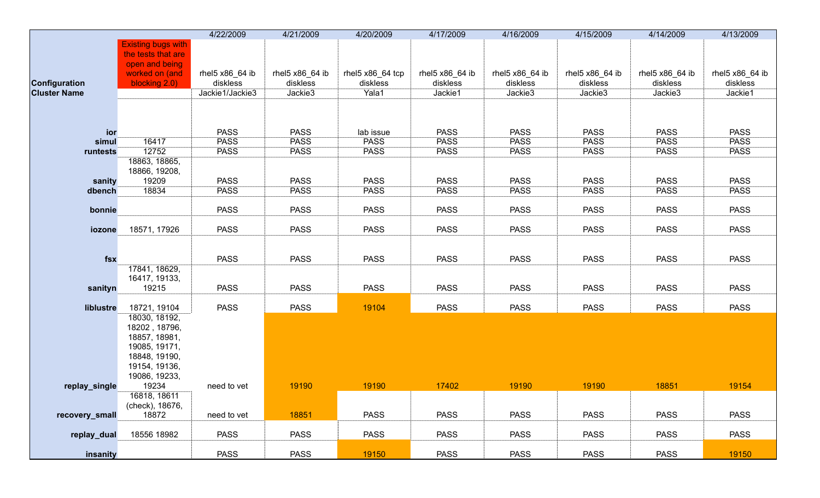|                     |                                 | 4/22/2009       | 4/21/2009       | 4/20/2009        | 4/17/2009       | 4/16/2009       | 4/15/2009       | 4/14/2009       | 4/13/2009       |
|---------------------|---------------------------------|-----------------|-----------------|------------------|-----------------|-----------------|-----------------|-----------------|-----------------|
|                     | <b>Existing bugs with</b>       |                 |                 |                  |                 |                 |                 |                 |                 |
|                     | the tests that are              |                 |                 |                  |                 |                 |                 |                 |                 |
|                     | open and being                  |                 |                 |                  |                 |                 |                 |                 |                 |
|                     | worked on (and                  | rhel5 x86_64 ib | rhel5 x86_64 ib | rhel5 x86_64 tcp | rhel5 x86_64 ib | rhel5 x86_64 ib | rhel5 x86_64 ib | rhel5 x86_64 ib | rhel5 x86_64 ib |
| Configuration       | blocking 2.0)                   | diskless        | diskless        | diskless         | diskless        | diskless        | diskless        | diskless        | diskless        |
| <b>Cluster Name</b> |                                 | Jackie1/Jackie3 | Jackie3         | Yala1            | Jackie1         | Jackie3         | Jackie3         | Jackie3         | Jackie1         |
|                     |                                 |                 |                 |                  |                 |                 |                 |                 |                 |
|                     |                                 |                 |                 |                  |                 |                 |                 |                 |                 |
|                     |                                 |                 |                 |                  |                 |                 |                 |                 |                 |
| ior                 |                                 | <b>PASS</b>     | <b>PASS</b>     | lab issue        | <b>PASS</b>     | <b>PASS</b>     | <b>PASS</b>     | <b>PASS</b>     | <b>PASS</b>     |
| simul               | 16417                           | <b>PASS</b>     | <b>PASS</b>     | <b>PASS</b>      | <b>PASS</b>     | <b>PASS</b>     | <b>PASS</b>     | <b>PASS</b>     | <b>PASS</b>     |
| runtests            | 12752                           | <b>PASS</b>     | <b>PASS</b>     | <b>PASS</b>      | <b>PASS</b>     | <b>PASS</b>     | <b>PASS</b>     | <b>PASS</b>     | <b>PASS</b>     |
|                     | 18863, 18865,                   |                 |                 |                  |                 |                 |                 |                 |                 |
|                     | 18866, 19208,                   |                 |                 |                  |                 |                 |                 |                 |                 |
| sanity              | 19209                           | <b>PASS</b>     | <b>PASS</b>     | <b>PASS</b>      | <b>PASS</b>     | <b>PASS</b>     | <b>PASS</b>     | <b>PASS</b>     | <b>PASS</b>     |
| dbench              | 18834                           | <b>PASS</b>     | <b>PASS</b>     | <b>PASS</b>      | <b>PASS</b>     | <b>PASS</b>     | <b>PASS</b>     | <b>PASS</b>     | <b>PASS</b>     |
|                     |                                 |                 |                 |                  |                 |                 |                 |                 |                 |
| bonnie              |                                 | <b>PASS</b>     | <b>PASS</b>     | <b>PASS</b>      | <b>PASS</b>     | <b>PASS</b>     | <b>PASS</b>     | <b>PASS</b>     | <b>PASS</b>     |
|                     |                                 |                 |                 |                  |                 |                 |                 |                 |                 |
| iozone              | 18571, 17926                    | <b>PASS</b>     | <b>PASS</b>     | <b>PASS</b>      | <b>PASS</b>     | <b>PASS</b>     | <b>PASS</b>     | <b>PASS</b>     | <b>PASS</b>     |
|                     |                                 |                 |                 |                  |                 |                 |                 |                 |                 |
|                     |                                 |                 |                 |                  |                 |                 |                 |                 |                 |
| fsx                 |                                 | <b>PASS</b>     | <b>PASS</b>     | <b>PASS</b>      | <b>PASS</b>     | <b>PASS</b>     | <b>PASS</b>     | <b>PASS</b>     | <b>PASS</b>     |
|                     | 17841, 18629,                   |                 |                 |                  |                 |                 |                 |                 |                 |
|                     | 16417, 19133,                   |                 |                 |                  |                 |                 |                 |                 |                 |
| sanityn             | 19215                           | <b>PASS</b>     | <b>PASS</b>     | <b>PASS</b>      | <b>PASS</b>     | <b>PASS</b>     | <b>PASS</b>     | <b>PASS</b>     | <b>PASS</b>     |
|                     |                                 |                 |                 |                  |                 |                 |                 |                 |                 |
| liblustre           | 18721, 19104                    | <b>PASS</b>     | <b>PASS</b>     | 19104            | <b>PASS</b>     | <b>PASS</b>     | <b>PASS</b>     | <b>PASS</b>     | <b>PASS</b>     |
|                     | 18030, 18192,                   |                 |                 |                  |                 |                 |                 |                 |                 |
|                     | 18202, 18796,                   |                 |                 |                  |                 |                 |                 |                 |                 |
|                     | 18857, 18981,                   |                 |                 |                  |                 |                 |                 |                 |                 |
|                     | 19085, 19171,                   |                 |                 |                  |                 |                 |                 |                 |                 |
|                     | 18848, 19190,                   |                 |                 |                  |                 |                 |                 |                 |                 |
|                     | 19154, 19136,                   |                 |                 |                  |                 |                 |                 |                 |                 |
|                     | 19086, 19233,                   |                 |                 |                  | 17402           | 19190           |                 |                 |                 |
| replay_single       | 19234                           | need to vet     | 19190           | 19190            |                 |                 | 19190           | 18851           | 19154           |
|                     | 16818, 18611<br>(check), 18676, |                 |                 |                  |                 |                 |                 |                 |                 |
|                     | 18872                           | need to vet     | 18851           | <b>PASS</b>      | <b>PASS</b>     | <b>PASS</b>     | <b>PASS</b>     | <b>PASS</b>     | <b>PASS</b>     |
| recovery_small      |                                 |                 |                 |                  |                 |                 |                 |                 |                 |
| replay_dual         | 18556 18982                     | <b>PASS</b>     | <b>PASS</b>     | <b>PASS</b>      | <b>PASS</b>     | <b>PASS</b>     | <b>PASS</b>     | <b>PASS</b>     | <b>PASS</b>     |
|                     |                                 |                 |                 |                  |                 |                 |                 |                 |                 |
| insanity            |                                 | <b>PASS</b>     | <b>PASS</b>     | 19150            | <b>PASS</b>     | <b>PASS</b>     | <b>PASS</b>     | <b>PASS</b>     | 19150           |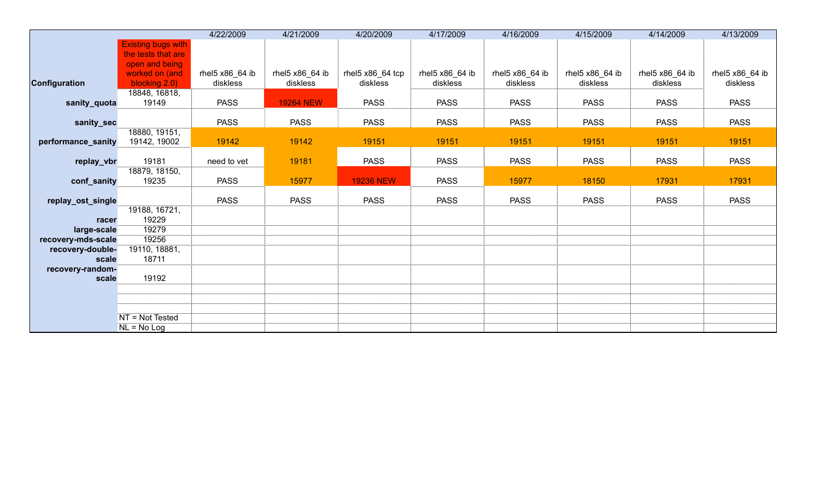|                           |                           | 4/22/2009       | 4/21/2009        | 4/20/2009        | 4/17/2009       | 4/16/2009       | 4/15/2009       | 4/14/2009       | 4/13/2009       |
|---------------------------|---------------------------|-----------------|------------------|------------------|-----------------|-----------------|-----------------|-----------------|-----------------|
|                           | <b>Existing bugs with</b> |                 |                  |                  |                 |                 |                 |                 |                 |
|                           | the tests that are        |                 |                  |                  |                 |                 |                 |                 |                 |
|                           | open and being            |                 |                  |                  |                 |                 |                 |                 |                 |
|                           | worked on (and            | rhel5 x86_64 ib | rhel5 x86 64 ib  | rhel5 x86_64 tcp | rhel5 x86_64 ib | rhel5 x86_64 ib | rhel5 x86 64 ib | rhel5 x86_64 ib | rhel5 x86_64 ib |
| Configuration             | blocking 2.0)             | diskless        | diskless         | diskless         | diskless        | diskless        | diskless        | diskless        | diskless        |
|                           | 18848, 16818,             |                 |                  |                  |                 |                 |                 |                 |                 |
| sanity_quota              | 19149                     | <b>PASS</b>     | <b>19264 NEW</b> | <b>PASS</b>      | <b>PASS</b>     | <b>PASS</b>     | <b>PASS</b>     | <b>PASS</b>     | <b>PASS</b>     |
| sanity_sec                |                           | <b>PASS</b>     | <b>PASS</b>      | <b>PASS</b>      | <b>PASS</b>     | <b>PASS</b>     | <b>PASS</b>     | <b>PASS</b>     | <b>PASS</b>     |
|                           | 18880, 19151,             |                 |                  |                  |                 |                 |                 |                 |                 |
| performance_sanity        | 19142, 19002              | 19142           | 19142            | 19151            | 19151           | 19151           | 19151           | 19151           | 19151           |
|                           | 19181                     | need to vet     | 19181            | <b>PASS</b>      | <b>PASS</b>     | <b>PASS</b>     | <b>PASS</b>     | <b>PASS</b>     | <b>PASS</b>     |
| replay_vbr                | 18879, 18150,             |                 |                  |                  |                 |                 |                 |                 |                 |
| conf_sanity               | 19235                     | <b>PASS</b>     | 15977            | <b>19236 NEW</b> | <b>PASS</b>     | 15977           | 18150           | 17931           | 17931           |
|                           |                           |                 |                  |                  |                 |                 |                 |                 |                 |
| replay_ost_single         |                           | <b>PASS</b>     | <b>PASS</b>      | <b>PASS</b>      | <b>PASS</b>     | <b>PASS</b>     | <b>PASS</b>     | <b>PASS</b>     | <b>PASS</b>     |
|                           | 19188, 16721,             |                 |                  |                  |                 |                 |                 |                 |                 |
| racer                     | 19229                     |                 |                  |                  |                 |                 |                 |                 |                 |
| large-scale               | 19279                     |                 |                  |                  |                 |                 |                 |                 |                 |
| recovery-mds-scale        | 19256                     |                 |                  |                  |                 |                 |                 |                 |                 |
| recovery-double-          | 19110, 18881,             |                 |                  |                  |                 |                 |                 |                 |                 |
| scale<br>recovery-random- | 18711                     |                 |                  |                  |                 |                 |                 |                 |                 |
| scale                     | 19192                     |                 |                  |                  |                 |                 |                 |                 |                 |
|                           |                           |                 |                  |                  |                 |                 |                 |                 |                 |
|                           |                           |                 |                  |                  |                 |                 |                 |                 |                 |
|                           |                           |                 |                  |                  |                 |                 |                 |                 |                 |
|                           | NT = Not Tested           |                 |                  |                  |                 |                 |                 |                 |                 |
|                           | $NL = No Log$             |                 |                  |                  |                 |                 |                 |                 |                 |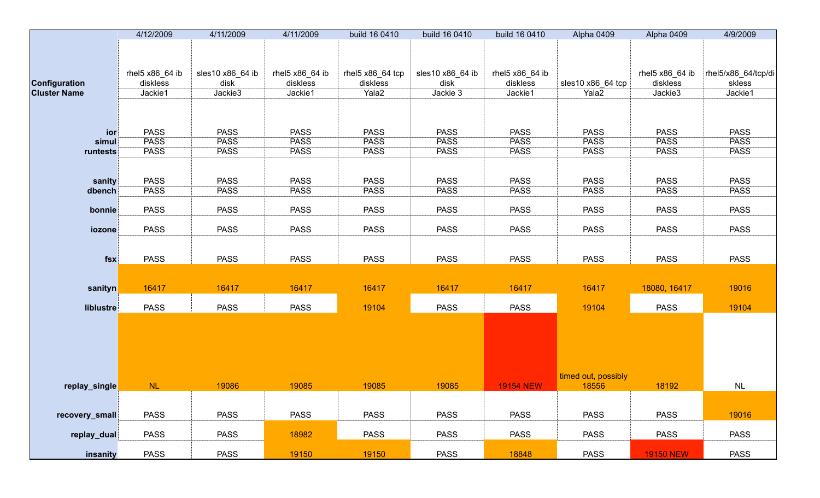|                     | 4/12/2009       | 4/11/2009        | 4/11/2009       | build 16 0410    | build 16 0410    | build 16 0410    | Alpha 0409          | Alpha 0409       | 4/9/2009            |
|---------------------|-----------------|------------------|-----------------|------------------|------------------|------------------|---------------------|------------------|---------------------|
|                     | rhel5 x86_64 ib | sles10 x86_64 ib | rhel5 x86_64 ib | rhel5 x86_64 tcp | sles10 x86_64 ib | rhel5 x86_64 ib  |                     | rhel5 x86_64 ib  | rhel5/x86_64/tcp/di |
| Configuration       | diskless        | disk             | diskless        | diskless         | disk             | diskless         | sles10 x86_64 tcp   | diskless         | skless              |
| <b>Cluster Name</b> | Jackie1         | Jackie3          | Jackie1         | Yala2            | Jackie 3         | Jackie1          | Yala <sub>2</sub>   | Jackie3          | Jackie1             |
|                     |                 |                  |                 |                  |                  |                  |                     |                  |                     |
| ior                 | <b>PASS</b>     | <b>PASS</b>      | <b>PASS</b>     | <b>PASS</b>      | <b>PASS</b>      | <b>PASS</b>      | <b>PASS</b>         | <b>PASS</b>      | <b>PASS</b>         |
| simul               | <b>PASS</b>     | <b>PASS</b>      | <b>PASS</b>     | <b>PASS</b>      | <b>PASS</b>      | <b>PASS</b>      | <b>PASS</b>         | <b>PASS</b>      | <b>PASS</b>         |
| runtests            | <b>PASS</b>     | <b>PASS</b>      | <b>PASS</b>     | <b>PASS</b>      | <b>PASS</b>      | <b>PASS</b>      | <b>PASS</b>         | <b>PASS</b>      | <b>PASS</b>         |
| sanity              | <b>PASS</b>     | <b>PASS</b>      | <b>PASS</b>     | <b>PASS</b>      | <b>PASS</b>      | <b>PASS</b>      | <b>PASS</b>         | <b>PASS</b>      | <b>PASS</b>         |
| dbench              | <b>PASS</b>     | <b>PASS</b>      | <b>PASS</b>     | <b>PASS</b>      | <b>PASS</b>      | <b>PASS</b>      | <b>PASS</b>         | <b>PASS</b>      | <b>PASS</b>         |
|                     |                 |                  |                 |                  |                  |                  |                     |                  |                     |
| bonnie              | <b>PASS</b>     | <b>PASS</b>      | <b>PASS</b>     | <b>PASS</b>      | <b>PASS</b>      | <b>PASS</b>      | <b>PASS</b>         | <b>PASS</b>      | <b>PASS</b>         |
| iozone              | <b>PASS</b>     | <b>PASS</b>      | <b>PASS</b>     | <b>PASS</b>      | <b>PASS</b>      | <b>PASS</b>      | <b>PASS</b>         | <b>PASS</b>      | <b>PASS</b>         |
| fsx                 | <b>PASS</b>     | <b>PASS</b>      | <b>PASS</b>     | <b>PASS</b>      | <b>PASS</b>      | <b>PASS</b>      | <b>PASS</b>         | <b>PASS</b>      | <b>PASS</b>         |
| sanityn             | 16417           | 16417            | 16417           | 16417            | 16417            | 16417            | 16417               | 18080, 16417     | 19016               |
| liblustre           | <b>PASS</b>     | <b>PASS</b>      | <b>PASS</b>     | 19104            | <b>PASS</b>      | <b>PASS</b>      | 19104               | <b>PASS</b>      | 19104               |
|                     |                 |                  |                 |                  |                  |                  | timed out, possibly |                  |                     |
| replay_single       | NL              | 19086            | 19085           | 19085            | 19085            | <b>19154 NEW</b> | 18556               | 18192            | $\sf NL$            |
| recovery_small      | <b>PASS</b>     | <b>PASS</b>      | <b>PASS</b>     | <b>PASS</b>      | <b>PASS</b>      | <b>PASS</b>      | <b>PASS</b>         | <b>PASS</b>      | 19016               |
|                     |                 |                  |                 |                  |                  |                  |                     |                  |                     |
| replay_dual         | <b>PASS</b>     | <b>PASS</b>      | 18982           | <b>PASS</b>      | <b>PASS</b>      | <b>PASS</b>      | <b>PASS</b>         | <b>PASS</b>      | <b>PASS</b>         |
| insanity            | <b>PASS</b>     | <b>PASS</b>      | 19150           | 19150            | <b>PASS</b>      | 18848            | <b>PASS</b>         | <b>19150 NEW</b> | <b>PASS</b>         |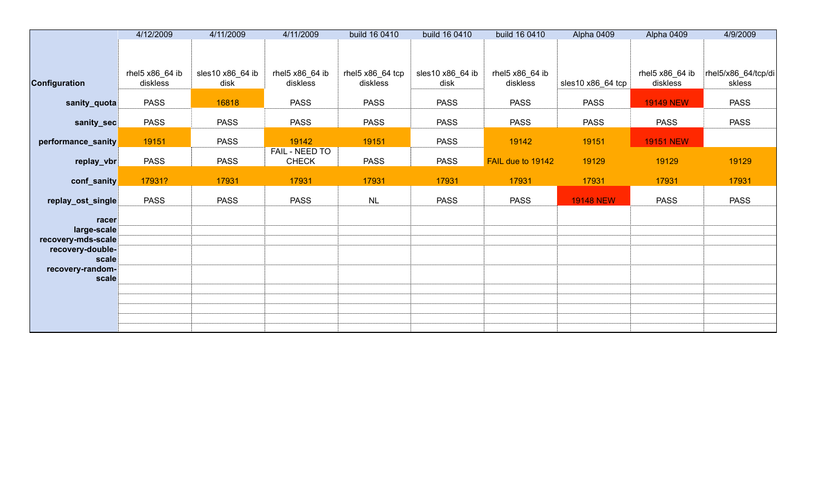|                                        | 4/12/2009       | 4/11/2009        | 4/11/2009       | build 16 0410                 | build 16 0410    | build 16 0410     | Alpha 0409        | Alpha 0409       | 4/9/2009            |
|----------------------------------------|-----------------|------------------|-----------------|-------------------------------|------------------|-------------------|-------------------|------------------|---------------------|
|                                        |                 |                  |                 |                               |                  |                   |                   |                  |                     |
|                                        |                 |                  |                 |                               |                  |                   |                   |                  |                     |
|                                        | rhel5 x86_64 ib | sles10 x86_64 ib | rhel5 x86_64 ib | rhel5 $x86$ <sub>64</sub> tcp | sles10 x86_64 ib | rhel5 x86_64 ib   |                   | rhel5 x86_64 ib  | rhel5/x86_64/tcp/di |
| Configuration                          | diskless        | disk             | diskless        | diskless                      | disk             | diskless          | sles10 x86_64 tcp | diskless         | skless              |
| sanity_quota                           | <b>PASS</b>     | 16818            | <b>PASS</b>     | <b>PASS</b>                   | <b>PASS</b>      | <b>PASS</b>       | <b>PASS</b>       | <b>19149 NEW</b> | <b>PASS</b>         |
| sanity_sec                             | <b>PASS</b>     | <b>PASS</b>      | <b>PASS</b>     | <b>PASS</b>                   | <b>PASS</b>      | <b>PASS</b>       | <b>PASS</b>       | <b>PASS</b>      | <b>PASS</b>         |
| performance_sanity                     | 19151           | <b>PASS</b>      | 19142           | 19151                         | <b>PASS</b>      | 19142             | 19151             | <b>19151 NEW</b> |                     |
|                                        |                 |                  | FAIL - NEED TO  |                               |                  |                   |                   |                  |                     |
| replay_vbr                             | <b>PASS</b>     | <b>PASS</b>      | <b>CHECK</b>    | <b>PASS</b>                   | <b>PASS</b>      | FAIL due to 19142 | 19129             | 19129            | 19129               |
| conf_sanity                            | 17931?          | 17931            | 17931           | 17931                         | 17931            | 17931             | 17931             | 17931            | 17931               |
| replay_ost_single                      | <b>PASS</b>     | <b>PASS</b>      | <b>PASS</b>     | <b>NL</b>                     | <b>PASS</b>      | <b>PASS</b>       | <b>19148 NEW</b>  | <b>PASS</b>      | <b>PASS</b>         |
| racer                                  |                 |                  |                 |                               |                  |                   |                   |                  |                     |
| large-scale                            |                 |                  |                 |                               |                  |                   |                   |                  |                     |
| recovery-mds-scale<br>recovery-double- |                 |                  |                 |                               |                  |                   |                   |                  |                     |
| scale                                  |                 |                  |                 |                               |                  |                   |                   |                  |                     |
| recovery-random-                       |                 |                  |                 |                               |                  |                   |                   |                  |                     |
| scale                                  |                 |                  |                 |                               |                  |                   |                   |                  |                     |
|                                        |                 |                  |                 |                               |                  |                   |                   |                  |                     |
|                                        |                 |                  |                 |                               |                  |                   |                   |                  |                     |
|                                        |                 |                  |                 |                               |                  |                   |                   |                  |                     |
|                                        |                 |                  |                 |                               |                  |                   |                   |                  |                     |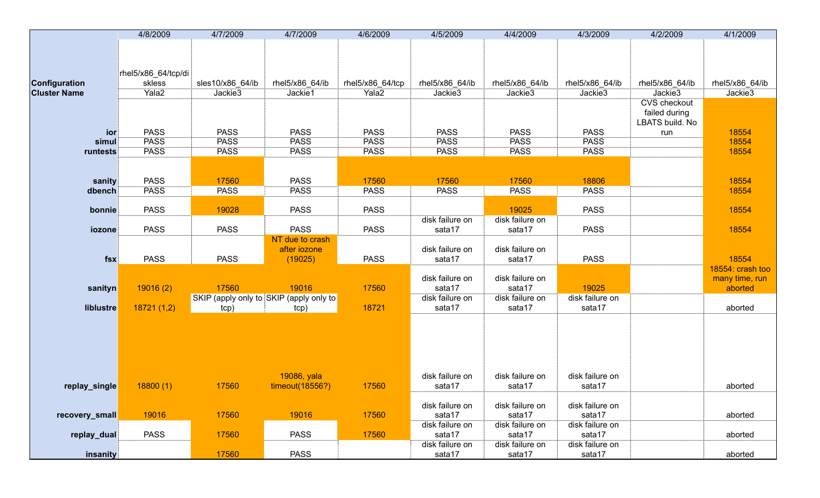|                     | 4/8/2009            | 4/7/2009                                | 4/7/2009        | 4/6/2009         | 4/5/2009        | 4/4/2009        | 4/3/2009        | 4/2/2009            | 4/1/2009         |
|---------------------|---------------------|-----------------------------------------|-----------------|------------------|-----------------|-----------------|-----------------|---------------------|------------------|
|                     |                     |                                         |                 |                  |                 |                 |                 |                     |                  |
|                     |                     |                                         |                 |                  |                 |                 |                 |                     |                  |
|                     | rhel5/x86_64/tcp/di |                                         |                 |                  |                 |                 |                 |                     |                  |
| Configuration       | skless              | sles10/x86_64/ib                        | rhel5/x86_64/ib | rhel5/x86_64/tcp | rhel5/x86_64/ib | rhel5/x86_64/ib | rhel5/x86 64/ib | rhel5/x86_64/ib     | rhel5/x86_64/ib  |
| <b>Cluster Name</b> | Yala2               | Jackie3                                 | Jackie1         | Yala2            | Jackie3         | Jackie3         | Jackie3         | Jackie3             | Jackie3          |
|                     |                     |                                         |                 |                  |                 |                 |                 | <b>CVS</b> checkout |                  |
|                     |                     |                                         |                 |                  |                 |                 |                 | failed during       |                  |
|                     |                     |                                         |                 |                  |                 |                 |                 | LBATS build. No     |                  |
| ior                 | <b>PASS</b>         | <b>PASS</b>                             | <b>PASS</b>     | <b>PASS</b>      | <b>PASS</b>     | <b>PASS</b>     | <b>PASS</b>     | run                 | 18554            |
| simul               | <b>PASS</b>         | <b>PASS</b>                             | <b>PASS</b>     | <b>PASS</b>      | <b>PASS</b>     | <b>PASS</b>     | <b>PASS</b>     |                     | 18554            |
| runtests            | <b>PASS</b>         | <b>PASS</b>                             | <b>PASS</b>     | <b>PASS</b>      | <b>PASS</b>     | <b>PASS</b>     | <b>PASS</b>     |                     | 18554            |
|                     |                     |                                         |                 |                  |                 |                 |                 |                     |                  |
| sanity              | <b>PASS</b>         | 17560                                   | <b>PASS</b>     | 17560            | 17560           | 17560           | 18806           |                     | 18554            |
| dbench              | <b>PASS</b>         | <b>PASS</b>                             | <b>PASS</b>     | <b>PASS</b>      | <b>PASS</b>     | <b>PASS</b>     | <b>PASS</b>     |                     | 18554            |
|                     |                     |                                         |                 |                  |                 |                 |                 |                     |                  |
| bonnie              | <b>PASS</b>         | 19028                                   | <b>PASS</b>     | <b>PASS</b>      |                 | 19025           | <b>PASS</b>     |                     | 18554            |
|                     |                     |                                         |                 |                  | disk failure on | disk failure on |                 |                     |                  |
| iozone              | <b>PASS</b>         | <b>PASS</b>                             | <b>PASS</b>     | <b>PASS</b>      | sata17          | sata17          | <b>PASS</b>     |                     | 18554            |
|                     |                     |                                         | NT due to crash |                  |                 |                 |                 |                     |                  |
|                     |                     |                                         | after iozone    |                  | disk failure on | disk failure on |                 |                     |                  |
| fsx                 | <b>PASS</b>         | <b>PASS</b>                             | (19025)         | <b>PASS</b>      | sata17          | sata17          | <b>PASS</b>     |                     | 18554            |
|                     |                     |                                         |                 |                  |                 |                 |                 |                     | 18554: crash too |
|                     |                     |                                         |                 |                  | disk failure on | disk failure on |                 |                     | many time, run   |
| sanityn             | 19016(2)            | 17560                                   | 19016           | 17560            | sata17          | sata17          | 19025           |                     | aborted          |
|                     |                     | SKIP (apply only to SKIP (apply only to |                 | 18721            | disk failure on | disk failure on | disk failure on |                     |                  |
| liblustre           | 18721(1,2)          | tcp)                                    | tcp)            |                  | sata17          | sata17          | sata17          |                     | aborted          |
|                     |                     |                                         |                 |                  |                 |                 |                 |                     |                  |
|                     |                     |                                         |                 |                  |                 |                 |                 |                     |                  |
|                     |                     |                                         |                 |                  |                 |                 |                 |                     |                  |
|                     |                     |                                         |                 |                  |                 |                 |                 |                     |                  |
|                     |                     |                                         |                 |                  |                 |                 |                 |                     |                  |
|                     |                     |                                         | 19086, yala     |                  | disk failure on | disk failure on | disk failure on |                     |                  |
| replay_single       | 18800(1)            | 17560                                   | timeout(18556?) | 17560            | sata17          | sata17          | sata17          |                     | aborted          |
|                     |                     |                                         |                 |                  |                 |                 |                 |                     |                  |
|                     |                     |                                         |                 |                  | disk failure on | disk failure on | disk failure on |                     |                  |
| recovery_small      | 19016               | 17560                                   | 19016           | 17560            | sata17          | sata17          | sata17          |                     | aborted          |
|                     |                     |                                         |                 |                  | disk failure on | disk failure on | disk failure on |                     |                  |
| replay_dual         | <b>PASS</b>         | 17560                                   | <b>PASS</b>     | 17560            | sata17          | sata17          | sata17          |                     | aborted          |
|                     |                     |                                         |                 |                  | disk failure on | disk failure on | disk failure on |                     |                  |
| insanity            |                     | 17560                                   | <b>PASS</b>     |                  | sata17          | sata17          | sata17          |                     | aborted          |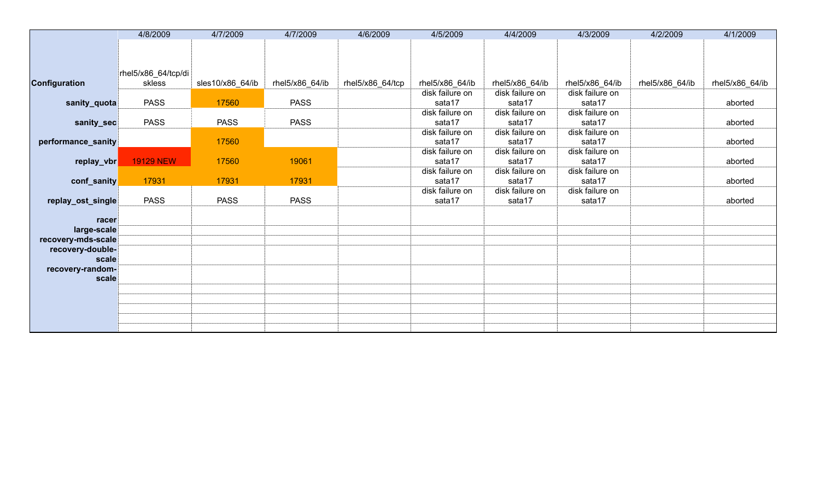|                           | 4/8/2009            | 4/7/2009         | 4/7/2009        | 4/6/2009         | 4/5/2009                  | 4/4/2009                  | 4/3/2009                  | 4/2/2009        | 4/1/2009        |
|---------------------------|---------------------|------------------|-----------------|------------------|---------------------------|---------------------------|---------------------------|-----------------|-----------------|
|                           |                     |                  |                 |                  |                           |                           |                           |                 |                 |
|                           |                     |                  |                 |                  |                           |                           |                           |                 |                 |
|                           | rhel5/x86_64/tcp/di |                  |                 |                  |                           |                           |                           |                 |                 |
| <b>Configuration</b>      | skless              | sles10/x86_64/ib | rhel5/x86_64/ib | rhel5/x86_64/tcp | rhel5/x86_64/ib           | rhel5/x86_64/ib           | rhel5/x86_64/ib           | rhel5/x86_64/ib | rhel5/x86_64/ib |
|                           |                     |                  |                 |                  | disk failure on           | disk failure on           | disk failure on           |                 |                 |
| sanity_quota              | <b>PASS</b>         | 17560            | <b>PASS</b>     |                  | sata17                    | sata17                    | sata17                    |                 | aborted         |
|                           |                     |                  |                 |                  | disk failure on           | disk failure on           | disk failure on           |                 |                 |
| sanity_sec                | <b>PASS</b>         | <b>PASS</b>      | <b>PASS</b>     |                  | sata17                    | sata17                    | sata17                    |                 | aborted         |
|                           |                     |                  |                 |                  | disk failure on           | disk failure on           | disk failure on           |                 |                 |
| performance_sanity        |                     | 17560            |                 |                  | sata17                    | sata17                    | sata17                    |                 | aborted         |
|                           |                     |                  |                 |                  | disk failure on           | disk failure on           | disk failure on           |                 |                 |
| replay_vbr                | <b>19129 NEW</b>    | 17560            | 19061           |                  | sata17<br>disk failure on | sata17<br>disk failure on | sata17<br>disk failure on |                 | aborted         |
| conf_sanity               | 17931               | 17931            | 17931           |                  | sata17                    | sata17                    | sata17                    |                 | aborted         |
|                           |                     |                  |                 |                  | disk failure on           | disk failure on           | disk failure on           |                 |                 |
| replay_ost_single         | <b>PASS</b>         | <b>PASS</b>      | <b>PASS</b>     |                  | sata17                    | sata17                    | sata17                    |                 | aborted         |
|                           |                     |                  |                 |                  |                           |                           |                           |                 |                 |
| racer                     |                     |                  |                 |                  |                           |                           |                           |                 |                 |
| large-scale               |                     |                  |                 |                  |                           |                           |                           |                 |                 |
| recovery-mds-scale        |                     |                  |                 |                  |                           |                           |                           |                 |                 |
| recovery-double-<br>scale |                     |                  |                 |                  |                           |                           |                           |                 |                 |
| recovery-random-          |                     |                  |                 |                  |                           |                           |                           |                 |                 |
| scale                     |                     |                  |                 |                  |                           |                           |                           |                 |                 |
|                           |                     |                  |                 |                  |                           |                           |                           |                 |                 |
|                           |                     |                  |                 |                  |                           |                           |                           |                 |                 |
|                           |                     |                  |                 |                  |                           |                           |                           |                 |                 |
|                           |                     |                  |                 |                  |                           |                           |                           |                 |                 |
|                           |                     |                  |                 |                  |                           |                           |                           |                 |                 |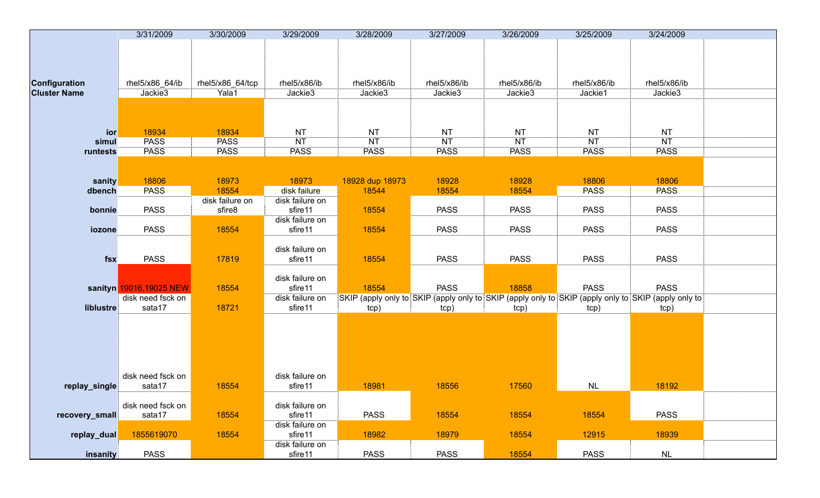|                     | 3/31/2009               | 3/30/2009        | 3/29/2009       | 3/28/2009       | 3/27/2009    | 3/26/2009                                                                                           | 3/25/2009    | 3/24/2009    |  |
|---------------------|-------------------------|------------------|-----------------|-----------------|--------------|-----------------------------------------------------------------------------------------------------|--------------|--------------|--|
|                     |                         |                  |                 |                 |              |                                                                                                     |              |              |  |
|                     |                         |                  |                 |                 |              |                                                                                                     |              |              |  |
|                     |                         |                  |                 |                 |              |                                                                                                     |              |              |  |
|                     |                         |                  |                 |                 |              |                                                                                                     |              |              |  |
| Configuration       | rhel5/x86_64/ib         | rhel5/x86_64/tcp | rhel5/x86/ib    | rhel5/x86/ib    | rhel5/x86/ib | rhel5/x86/ib                                                                                        | rhel5/x86/ib | rhel5/x86/ib |  |
| <b>Cluster Name</b> | Jackie3                 | Yala1            | Jackie3         | Jackie3         | Jackie3      | Jackie3                                                                                             | Jackie1      | Jackie3      |  |
|                     |                         |                  |                 |                 |              |                                                                                                     |              |              |  |
|                     |                         |                  |                 |                 |              |                                                                                                     |              |              |  |
|                     |                         |                  |                 |                 |              |                                                                                                     |              |              |  |
| ior                 | 18934                   | 18934            | <b>NT</b>       | <b>NT</b>       | <b>NT</b>    | <b>NT</b>                                                                                           | <b>NT</b>    | <b>NT</b>    |  |
| simul               | <b>PASS</b>             | <b>PASS</b>      | <b>NT</b>       | NT              | NT           | <b>NT</b>                                                                                           | <b>NT</b>    | NT           |  |
| runtests            | <b>PASS</b>             | <b>PASS</b>      | <b>PASS</b>     | <b>PASS</b>     | <b>PASS</b>  | <b>PASS</b>                                                                                         | <b>PASS</b>  | <b>PASS</b>  |  |
|                     |                         |                  |                 |                 |              |                                                                                                     |              |              |  |
|                     |                         |                  |                 |                 |              |                                                                                                     |              |              |  |
| sanity              | 18806                   | 18973            | 18973           | 18928 dup 18973 | 18928        | 18928                                                                                               | 18806        | 18806        |  |
| dbench              | <b>PASS</b>             | 18554            | disk failure    | 18544           | 18554        | 18554                                                                                               | <b>PASS</b>  | <b>PASS</b>  |  |
|                     |                         | disk failure on  | disk failure on |                 |              |                                                                                                     |              |              |  |
| bonnie              | <b>PASS</b>             | sfire8           | sfire11         | 18554           | <b>PASS</b>  | <b>PASS</b>                                                                                         | <b>PASS</b>  | <b>PASS</b>  |  |
|                     |                         |                  | disk failure on |                 |              |                                                                                                     |              |              |  |
| iozone              | <b>PASS</b>             | 18554            | sfire11         | 18554           | <b>PASS</b>  | <b>PASS</b>                                                                                         | <b>PASS</b>  | <b>PASS</b>  |  |
|                     |                         |                  |                 |                 |              |                                                                                                     |              |              |  |
|                     |                         |                  | disk failure on |                 |              |                                                                                                     |              |              |  |
| fsx                 | <b>PASS</b>             | 17819            | sfire11         | 18554           | <b>PASS</b>  | <b>PASS</b>                                                                                         | <b>PASS</b>  | <b>PASS</b>  |  |
|                     |                         |                  |                 |                 |              |                                                                                                     |              |              |  |
|                     |                         |                  | disk failure on |                 |              |                                                                                                     |              |              |  |
|                     | sanityn 19016,19025 NEW | 18554            | sfire11         | 18554           | <b>PASS</b>  | 18858                                                                                               | <b>PASS</b>  | <b>PASS</b>  |  |
|                     | disk need fsck on       |                  | disk failure on |                 |              |                                                                                                     |              |              |  |
| liblustre           | sata17                  | 18721            | sfire11         |                 |              | SKIP (apply only to SKIP (apply only to SKIP (apply only to SKIP (apply only to SKIP (apply only to |              |              |  |
|                     |                         |                  |                 | tcp)            | tcp)         | tcp)                                                                                                | tcp)         | tcp)         |  |
|                     |                         |                  |                 |                 |              |                                                                                                     |              |              |  |
|                     |                         |                  |                 |                 |              |                                                                                                     |              |              |  |
|                     |                         |                  |                 |                 |              |                                                                                                     |              |              |  |
|                     |                         |                  |                 |                 |              |                                                                                                     |              |              |  |
|                     |                         |                  |                 |                 |              |                                                                                                     |              |              |  |
|                     | disk need fsck on       |                  | disk failure on |                 |              |                                                                                                     |              |              |  |
|                     |                         |                  |                 |                 |              | 17560                                                                                               |              | 18192        |  |
| replay_single       | sata17                  | 18554            | sfire11         | 18981           | 18556        |                                                                                                     | $\sf NL$     |              |  |
|                     | disk need fsck on       |                  | disk failure on |                 |              |                                                                                                     |              |              |  |
|                     |                         |                  |                 |                 |              |                                                                                                     |              |              |  |
| recovery_small      | sata17                  | 18554            | sfire11         | <b>PASS</b>     | 18554        | 18554                                                                                               | 18554        | <b>PASS</b>  |  |
|                     |                         |                  | disk failure on |                 |              |                                                                                                     |              |              |  |
| replay_dual         | 1855619070              | 18554            | sfire11         | 18982           | 18979        | 18554                                                                                               | 12915        | 18939        |  |
|                     |                         |                  | disk failure on |                 |              |                                                                                                     |              |              |  |
| insanity            | <b>PASS</b>             |                  | sfire11         | <b>PASS</b>     | <b>PASS</b>  | 18554                                                                                               | <b>PASS</b>  | $\sf NL$     |  |